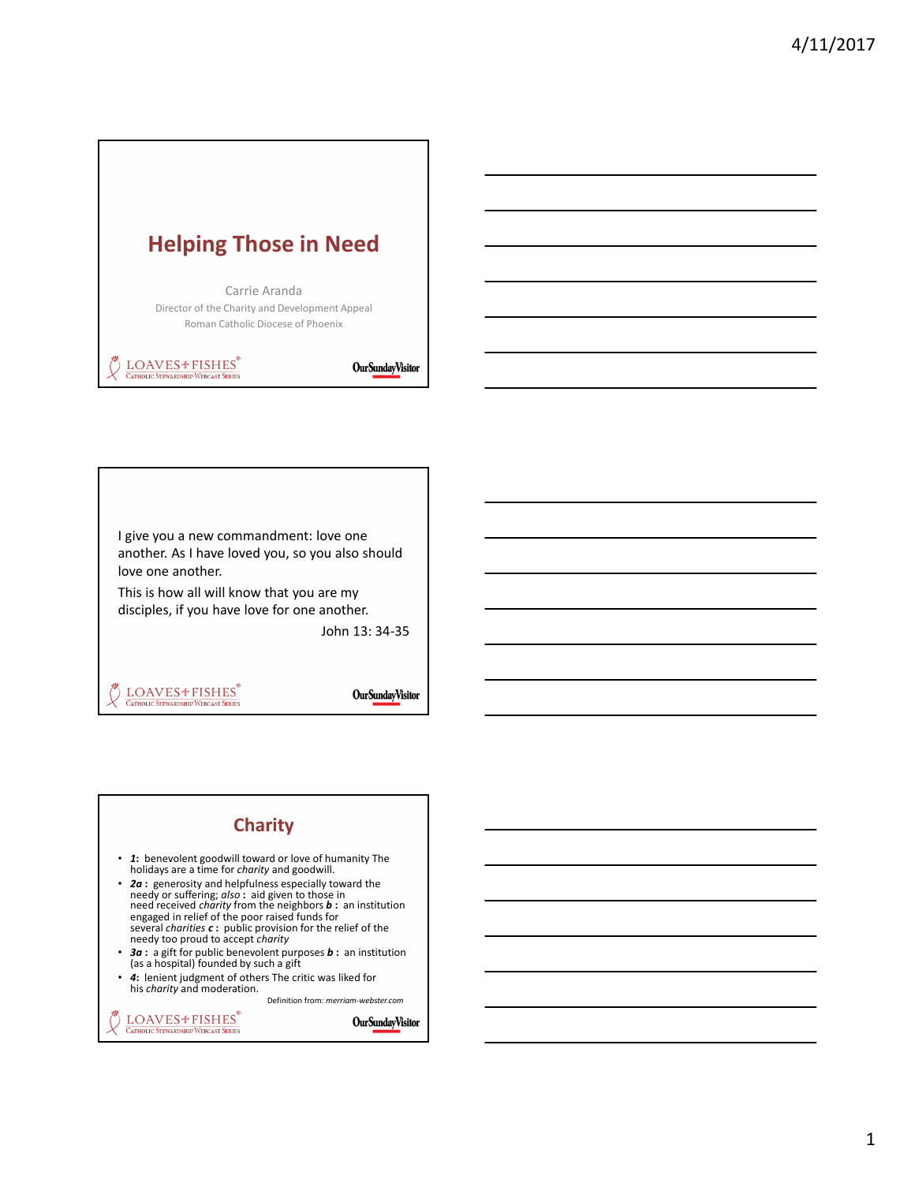# **Helping Those in Need**

Carrie Aranda Director of the Charity and Development Appeal Roman Catholic Diocese of Phoenix

 $\frac{\text{LOAVES}\# \text{FISHES}^{\text{\$}}}{\text{Catholic Strwangalip}$  Weegast Series

**OurSundayVisitor** 

I give you a new commandment: love one another. As I have loved you, so you also should love one another.

This is how all will know that you are my disciples, if you have love for one another.

John 13: 34-35

LOAVES<sup>+</sup>FISHES® **CATHOLIC STEWARDSHIP WEBCAST SERIES** 

**OurSundayVisitor** 

#### **Charity**

- *1***:** benevolent goodwill toward or love of humanity The holidays are a time for *charity* and goodwill.
- *2a* **:** generosity and helpfulness especially toward the needy or suffering; *also* **:** aid given to those in need received *charity* from the neighbors *b* **:** an institution engaged in relief of the poor raised funds for several *charities c* **:** public provision for the relief of the needy too proud to accept *charity*
- *3a* **:** a gift for public benevolent purposes *b* **:** an institution (as a hospital) founded by such a gift
- 4: lenient judgment of others The critic was liked for his *charity* and moderation.

Definition from: *merriam-webster.com*

 $\frac{\text{LOAVES}\# \text{FISHES}^{\text{}}}{\text{Cational CFWRRDSHIP WEBCAST SERIES}}$ 

**OurSundayVisitor**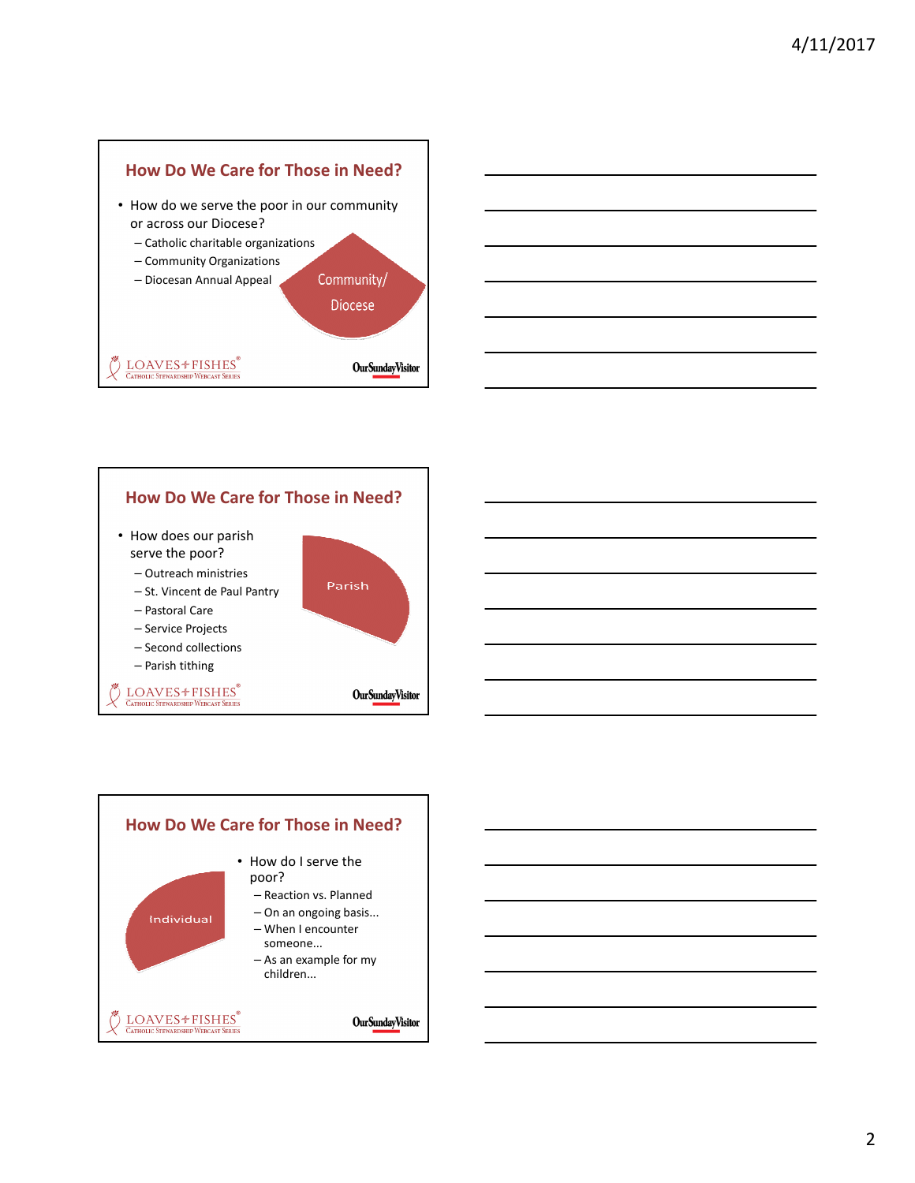





2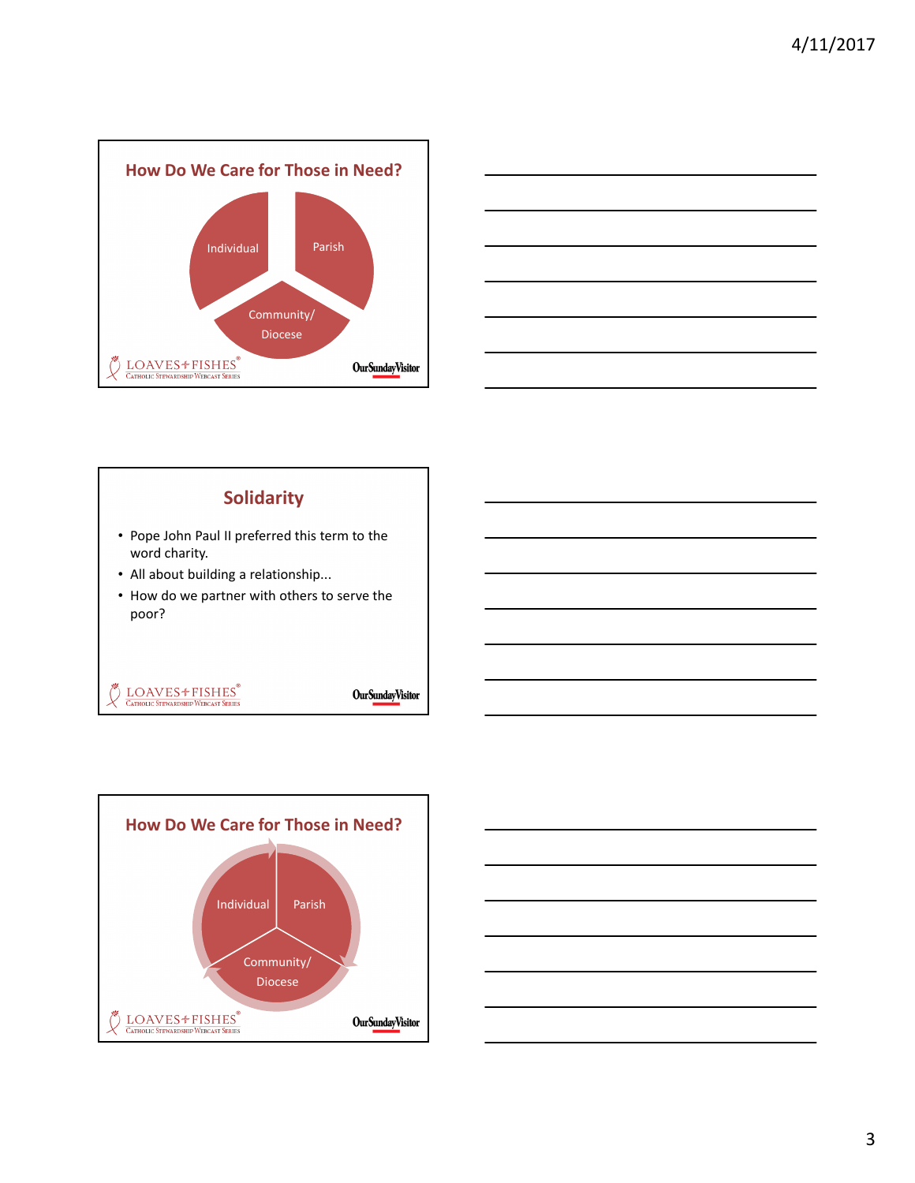







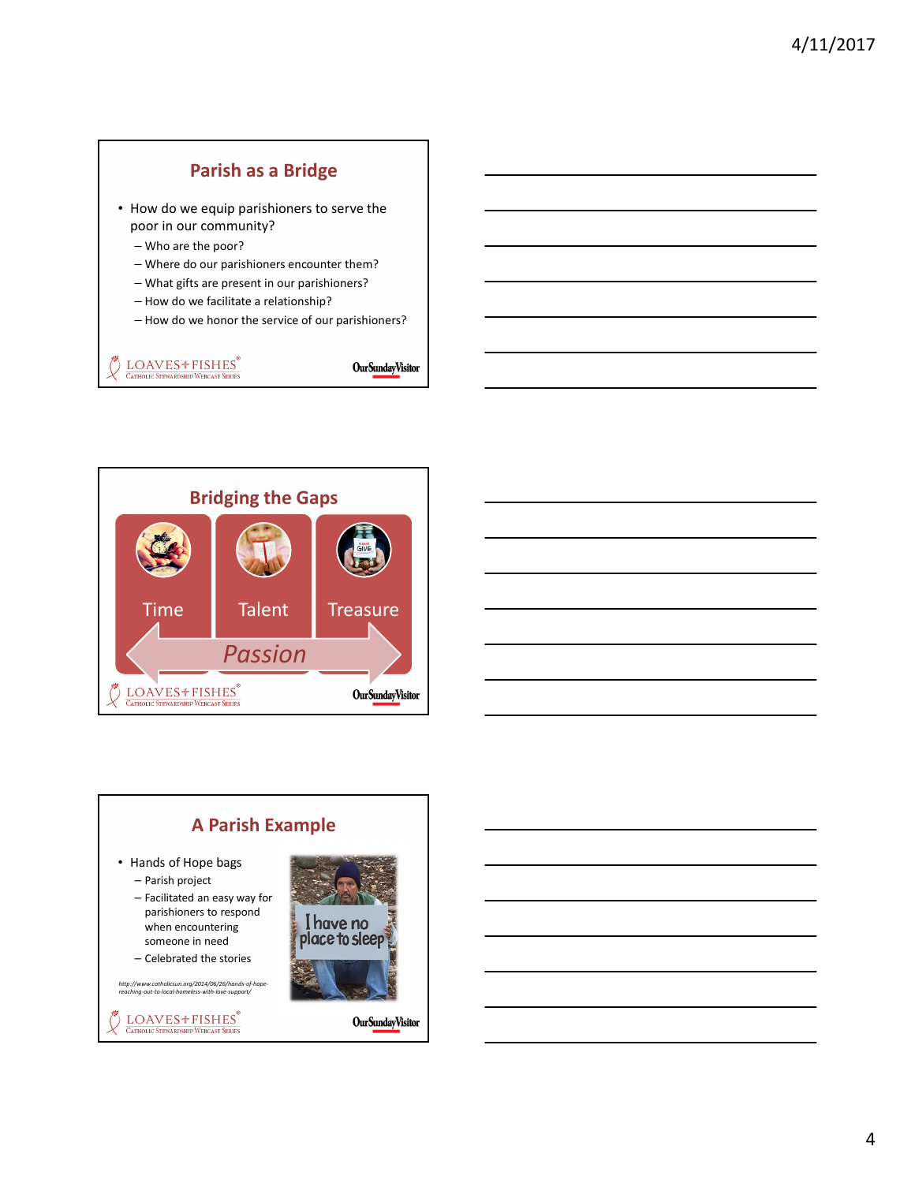





4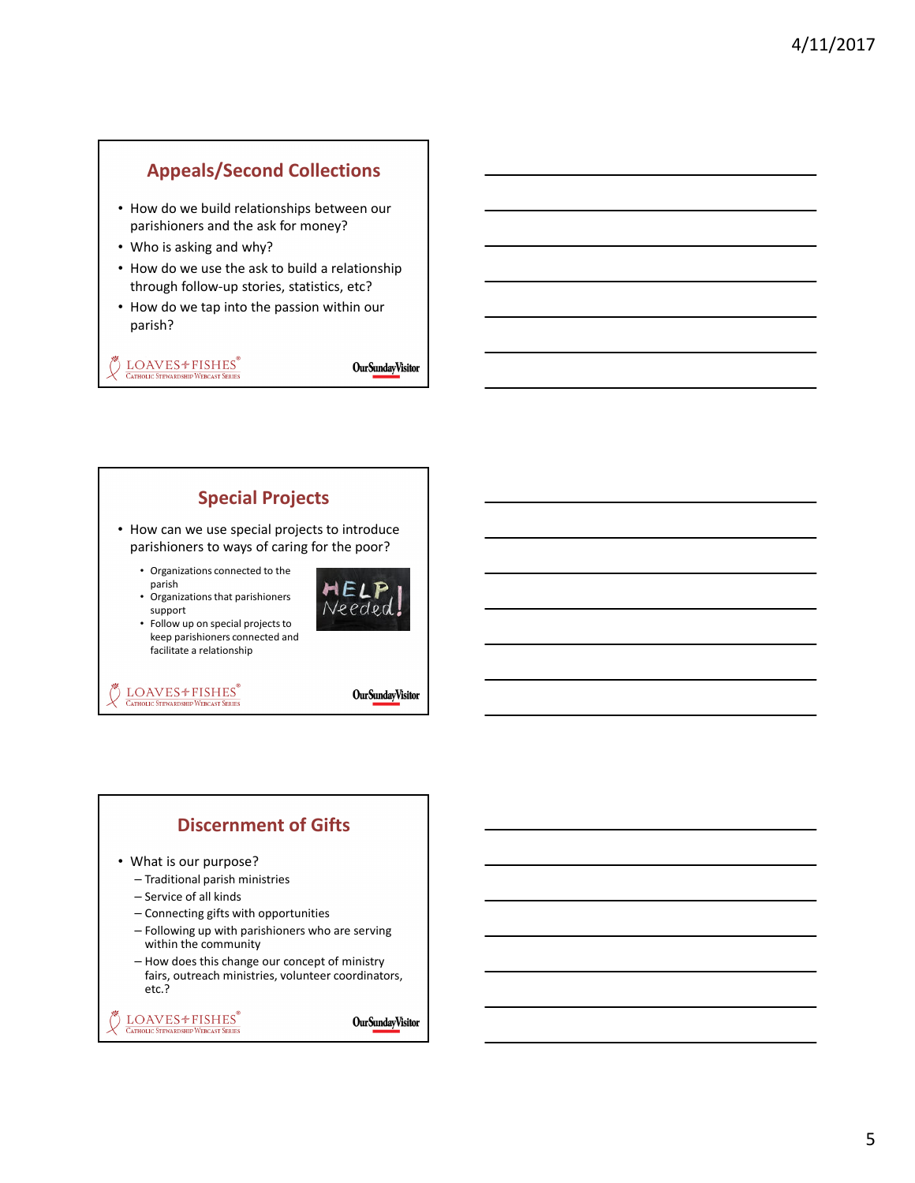### **Appeals/Second Collections**

- How do we build relationships between our parishioners and the ask for money?
- Who is asking and why?
- How do we use the ask to build a relationship through follow-up stories, statistics, etc?
- How do we tap into the passion within our parish?

LOAVES+FISHES® CATHOLIC STEWARDSHIP WEBCAST SERIES

**OurSundayVisitor** 

#### **Special Projects** • How can we use special projects to introduce parishioners to ways of caring for the poor? • Organizations connected to the parish HELP • Organizations that parishioners Needed support • Follow up on special projects to keep parishioners connected and facilitate a relationship

LOAVES+FISHES® **CATHOLIC STEWARDSHIP WEBCAST SERIES** 



## **Discernment of Gifts**

- What is our purpose?
	- Traditional parish ministries
	- Service of all kinds
	- Connecting gifts with opportunities
	- Following up with parishioners who are serving within the community
	- How does this change our concept of ministry fairs, outreach ministries, volunteer coordinators, etc.?

```
\frac{\text{LOAVES}\# \text{FISHES}^{\text{P}}}{\text{Cartbolic Strewaroship WebCAST Series}}
```
**OurSundayVisitor**